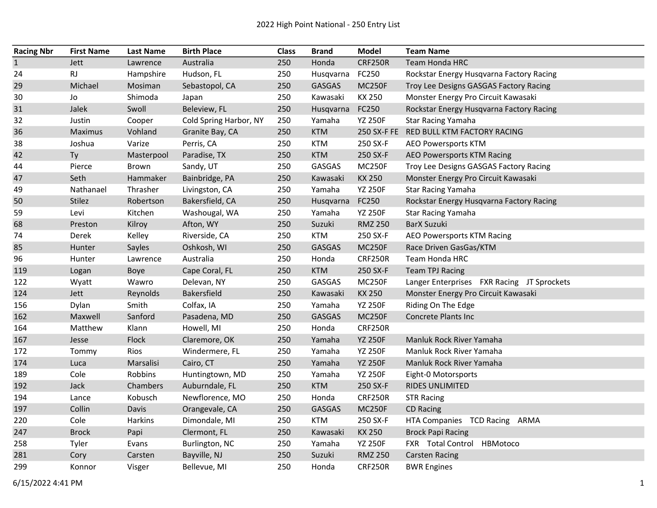| <b>Racing Nbr</b> | <b>First Name</b> | <b>Last Name</b> | <b>Birth Place</b>     | <b>Class</b> | <b>Brand</b>  | <b>Model</b>   | <b>Team Name</b>                           |
|-------------------|-------------------|------------------|------------------------|--------------|---------------|----------------|--------------------------------------------|
| $\mathbf{1}$      | Jett              | Lawrence         | Australia              | 250          | Honda         | <b>CRF250R</b> | Team Honda HRC                             |
| 24                | <b>RJ</b>         | Hampshire        | Hudson, FL             | 250          | Husqvarna     | FC250          | Rockstar Energy Husqvarna Factory Racing   |
| 29                | Michael           | Mosiman          | Sebastopol, CA         | 250          | <b>GASGAS</b> | <b>MC250F</b>  | Troy Lee Designs GASGAS Factory Racing     |
| 30                | Jo                | Shimoda          | Japan                  | 250          | Kawasaki      | KX 250         | Monster Energy Pro Circuit Kawasaki        |
| 31                | Jalek             | Swoll            | Beleview, FL           | 250          | Husqvarna     | FC250          | Rockstar Energy Husqvarna Factory Racing   |
| 32                | Justin            | Cooper           | Cold Spring Harbor, NY | 250          | Yamaha        | <b>YZ 250F</b> | <b>Star Racing Yamaha</b>                  |
| 36                | <b>Maximus</b>    | Vohland          | Granite Bay, CA        | 250          | <b>KTM</b>    |                | 250 SX-F FE RED BULL KTM FACTORY RACING    |
| 38                | Joshua            | Varize           | Perris, CA             | 250          | <b>KTM</b>    | 250 SX-F       | <b>AEO Powersports KTM</b>                 |
| 42                | Ty                | Masterpool       | Paradise, TX           | 250          | <b>KTM</b>    | 250 SX-F       | AEO Powersports KTM Racing                 |
| 44                | Pierce            | Brown            | Sandy, UT              | 250          | GASGAS        | <b>MC250F</b>  | Troy Lee Designs GASGAS Factory Racing     |
| 47                | Seth              | Hammaker         | Bainbridge, PA         | 250          | Kawasaki      | KX 250         | Monster Energy Pro Circuit Kawasaki        |
| 49                | Nathanael         | Thrasher         | Livingston, CA         | 250          | Yamaha        | <b>YZ 250F</b> | <b>Star Racing Yamaha</b>                  |
| 50                | Stilez            | Robertson        | Bakersfield, CA        | 250          | Husqvarna     | FC250          | Rockstar Energy Husqvarna Factory Racing   |
| 59                | Levi              | Kitchen          | Washougal, WA          | 250          | Yamaha        | <b>YZ 250F</b> | <b>Star Racing Yamaha</b>                  |
| 68                | Preston           | Kilroy           | Afton, WY              | 250          | Suzuki        | <b>RMZ 250</b> | <b>BarX Suzuki</b>                         |
| 74                | Derek             | Kelley           | Riverside, CA          | 250          | <b>KTM</b>    | 250 SX-F       | AEO Powersports KTM Racing                 |
| 85                | Hunter            | Sayles           | Oshkosh, WI            | 250          | <b>GASGAS</b> | <b>MC250F</b>  | Race Driven GasGas/KTM                     |
| 96                | Hunter            | Lawrence         | Australia              | 250          | Honda         | <b>CRF250R</b> | Team Honda HRC                             |
| 119               | Logan             | Boye             | Cape Coral, FL         | 250          | <b>KTM</b>    | 250 SX-F       | <b>Team TPJ Racing</b>                     |
| 122               | Wyatt             | Wawro            | Delevan, NY            | 250          | GASGAS        | <b>MC250F</b>  | Langer Enterprises FXR Racing JT Sprockets |
| 124               | Jett              | Reynolds         | Bakersfield            | 250          | Kawasaki      | KX 250         | Monster Energy Pro Circuit Kawasaki        |
| 156               | Dylan             | Smith            | Colfax, IA             | 250          | Yamaha        | <b>YZ 250F</b> | Riding On The Edge                         |
| 162               | Maxwell           | Sanford          | Pasadena, MD           | 250          | <b>GASGAS</b> | <b>MC250F</b>  | Concrete Plants Inc                        |
| 164               | Matthew           | Klann            | Howell, MI             | 250          | Honda         | <b>CRF250R</b> |                                            |
| 167               | Jesse             | Flock            | Claremore, OK          | 250          | Yamaha        | <b>YZ 250F</b> | Manluk Rock River Yamaha                   |
| 172               | Tommy             | Rios             | Windermere, FL         | 250          | Yamaha        | <b>YZ 250F</b> | Manluk Rock River Yamaha                   |
| 174               | Luca              | Marsalisi        | Cairo, CT              | 250          | Yamaha        | <b>YZ 250F</b> | Manluk Rock River Yamaha                   |
| 189               | Cole              | Robbins          | Huntingtown, MD        | 250          | Yamaha        | <b>YZ 250F</b> | Eight-0 Motorsports                        |
| 192               | Jack              | Chambers         | Auburndale, FL         | 250          | <b>KTM</b>    | 250 SX-F       | RIDES UNLIMITED                            |
| 194               | Lance             | Kobusch          | Newflorence, MO        | 250          | Honda         | CRF250R        | <b>STR Racing</b>                          |
| 197               | Collin            | Davis            | Orangevale, CA         | 250          | GASGAS        | <b>MC250F</b>  | <b>CD Racing</b>                           |
| 220               | Cole              | Harkins          | Dimondale, MI          | 250          | <b>KTM</b>    | 250 SX-F       | HTA Companies TCD Racing ARMA              |
| 247               | <b>Brock</b>      | Papi             | Clermont, FL           | 250          | Kawasaki      | KX 250         | <b>Brock Papi Racing</b>                   |
| 258               | Tyler             | Evans            | Burlington, NC         | 250          | Yamaha        | <b>YZ 250F</b> | FXR Total Control HBMotoco                 |
| 281               | Cory              | Carsten          | Bayville, NJ           | 250          | Suzuki        | <b>RMZ 250</b> | <b>Carsten Racing</b>                      |
| 299               | Konnor            | Visger           | Bellevue, MI           | 250          | Honda         | <b>CRF250R</b> | <b>BWR Engines</b>                         |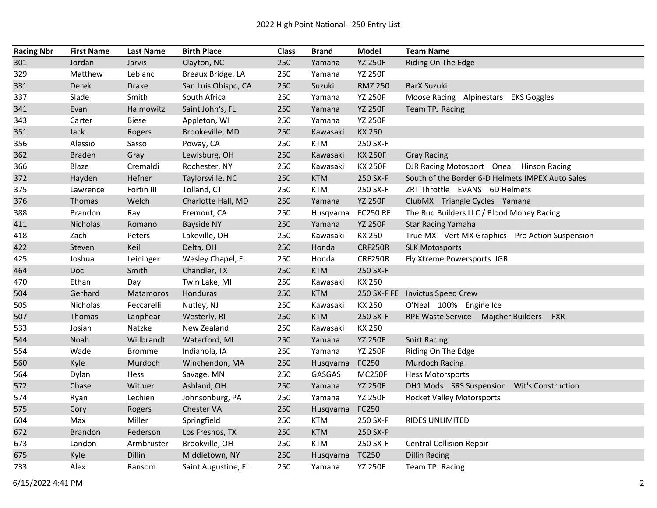| <b>Racing Nbr</b> | <b>First Name</b> | <b>Last Name</b> | <b>Birth Place</b>  | <b>Class</b> | <b>Brand</b>    | <b>Model</b>    | <b>Team Name</b>                                 |
|-------------------|-------------------|------------------|---------------------|--------------|-----------------|-----------------|--------------------------------------------------|
| 301               | Jordan            | Jarvis           | Clayton, NC         | 250          | Yamaha          | <b>YZ 250F</b>  | Riding On The Edge                               |
| 329               | Matthew           | Leblanc          | Breaux Bridge, LA   | 250          | Yamaha          | <b>YZ 250F</b>  |                                                  |
| 331               | Derek             | <b>Drake</b>     | San Luis Obispo, CA | 250          | Suzuki          | <b>RMZ 250</b>  | <b>BarX Suzuki</b>                               |
| 337               | Slade             | Smith            | South Africa        | 250          | Yamaha          | <b>YZ 250F</b>  | Moose Racing Alpinestars EKS Goggles             |
| 341               | Evan              | Haimowitz        | Saint John's, FL    | 250          | Yamaha          | <b>YZ 250F</b>  | <b>Team TPJ Racing</b>                           |
| 343               | Carter            | <b>Biese</b>     | Appleton, WI        | 250          | Yamaha          | <b>YZ 250F</b>  |                                                  |
| 351               | Jack              | Rogers           | Brookeville, MD     | 250          | Kawasaki        | <b>KX 250</b>   |                                                  |
| 356               | Alessio           | Sasso            | Poway, CA           | 250          | <b>KTM</b>      | 250 SX-F        |                                                  |
| 362               | <b>Braden</b>     | Gray             | Lewisburg, OH       | 250          | Kawasaki        | <b>KX 250F</b>  | <b>Gray Racing</b>                               |
| 366               | Blaze             | Cremaldi         | Rochester, NY       | 250          | Kawasaki        | <b>KX 250F</b>  | DJR Racing Motosport Oneal Hinson Racing         |
| 372               | Hayden            | Hefner           | Taylorsville, NC    | 250          | <b>KTM</b>      | 250 SX-F        | South of the Border 6-D Helmets IMPEX Auto Sales |
| 375               | Lawrence          | Fortin III       | Tolland, CT         | 250          | <b>KTM</b>      | 250 SX-F        | ZRT Throttle EVANS 6D Helmets                    |
| 376               | Thomas            | Welch            | Charlotte Hall, MD  | 250          | Yamaha          | <b>YZ 250F</b>  | ClubMX Triangle Cycles Yamaha                    |
| 388               | <b>Brandon</b>    | Ray              | Fremont, CA         | 250          | Husqvarna       | <b>FC250 RE</b> | The Bud Builders LLC / Blood Money Racing        |
| 411               | Nicholas          | Romano           | <b>Bayside NY</b>   | 250          | Yamaha          | <b>YZ 250F</b>  | <b>Star Racing Yamaha</b>                        |
| 418               | Zach              | Peters           | Lakeville, OH       | 250          | Kawasaki        | KX 250          | True MX Vert MX Graphics Pro Action Suspension   |
| 422               | Steven            | Keil             | Delta, OH           | 250          | Honda           | <b>CRF250R</b>  | <b>SLK Motosports</b>                            |
| 425               | Joshua            | Leininger        | Wesley Chapel, FL   | 250          | Honda           | <b>CRF250R</b>  | Fly Xtreme Powersports JGR                       |
| 464               | <b>Doc</b>        | Smith            | Chandler, TX        | 250          | <b>KTM</b>      | 250 SX-F        |                                                  |
| 470               | Ethan             | Day              | Twin Lake, MI       | 250          | Kawasaki        | KX 250          |                                                  |
| 504               | Gerhard           | Matamoros        | Honduras            | 250          | <b>KTM</b>      | 250 SX-F FE     | <b>Invictus Speed Crew</b>                       |
| 505               | Nicholas          | Peccarelli       | Nutley, NJ          | 250          | Kawasaki        | KX 250          | O'Neal 100% Engine Ice                           |
| 507               | Thomas            | Lanphear         | Westerly, RI        | 250          | <b>KTM</b>      | 250 SX-F        | <b>FXR</b><br>RPE Waste Service Majcher Builders |
| 533               | Josiah            | Natzke           | New Zealand         | 250          | Kawasaki        | KX 250          |                                                  |
| 544               | Noah              | Willbrandt       | Waterford, MI       | 250          | Yamaha          | <b>YZ 250F</b>  | <b>Snirt Racing</b>                              |
| 554               | Wade              | <b>Brommel</b>   | Indianola, IA       | 250          | Yamaha          | <b>YZ 250F</b>  | Riding On The Edge                               |
| 560               | Kyle              | Murdoch          | Winchendon, MA      | 250          | Husqvarna       | FC250           | <b>Murdoch Racing</b>                            |
| 564               | Dylan             | Hess             | Savage, MN          | 250          | GASGAS          | <b>MC250F</b>   | <b>Hess Motorsports</b>                          |
| 572               | Chase             | Witmer           | Ashland, OH         | 250          | Yamaha          | <b>YZ 250F</b>  | DH1 Mods SRS Suspension Wit's Construction       |
| 574               | Ryan              | Lechien          | Johnsonburg, PA     | 250          | Yamaha          | <b>YZ 250F</b>  | <b>Rocket Valley Motorsports</b>                 |
| 575               | Cory              | Rogers           | Chester VA          | 250          | Husqvarna       | FC250           |                                                  |
| 604               | Max               | Miller           | Springfield         | 250          | <b>KTM</b>      | 250 SX-F        | RIDES UNLIMITED                                  |
| 672               | <b>Brandon</b>    | Pederson         | Los Fresnos, TX     | 250          | <b>KTM</b>      | 250 SX-F        |                                                  |
| 673               | Landon            | Armbruster       | Brookville, OH      | 250          | <b>KTM</b>      | 250 SX-F        | <b>Central Collision Repair</b>                  |
| 675               | Kyle              | Dillin           | Middletown, NY      | 250          | Husqvarna TC250 |                 | <b>Dillin Racing</b>                             |
| 733               | Alex              | Ransom           | Saint Augustine, FL | 250          | Yamaha          | <b>YZ 250F</b>  | <b>Team TPJ Racing</b>                           |